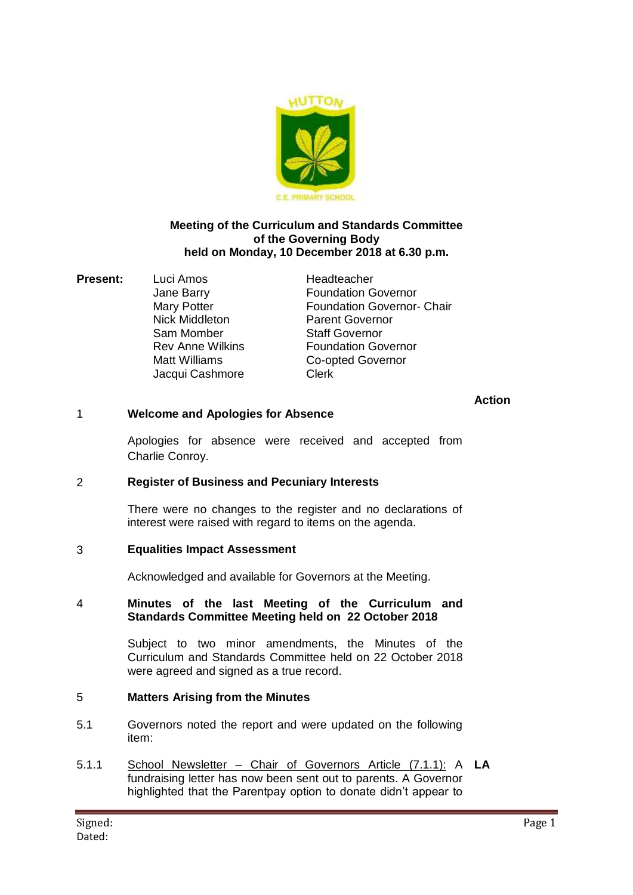

#### **Meeting of the Curriculum and Standards Committee of the Governing Body held on Monday, 10 December 2018 at 6.30 p.m.**

**Present:** Luci Amos Headteacher Jacqui Cashmore Clerk

Jane Barry Foundation Governor Mary Potter **Foundation Governor- Chair** Nick Middleton **Parent Governor**<br> **Sam Momber** Staff Governor Staff Governor Rev Anne Wilkins **Foundation Governor** Matt Williams **Co-opted Governor** 

## **Action**

## 1 **Welcome and Apologies for Absence**

Apologies for absence were received and accepted from Charlie Conroy.

### 2 **Register of Business and Pecuniary Interests**

There were no changes to the register and no declarations of interest were raised with regard to items on the agenda.

### 3 **Equalities Impact Assessment**

Acknowledged and available for Governors at the Meeting.

#### 4 **Minutes of the last Meeting of the Curriculum and Standards Committee Meeting held on 22 October 2018**

Subject to two minor amendments, the Minutes of the Curriculum and Standards Committee held on 22 October 2018 were agreed and signed as a true record.

# 5 **Matters Arising from the Minutes**

- 5.1 Governors noted the report and were updated on the following item:
- 5.1.1 School Newsletter Chair of Governors Article (7.1.1): A **LA**fundraising letter has now been sent out to parents. A Governor highlighted that the Parentpay option to donate didn't appear to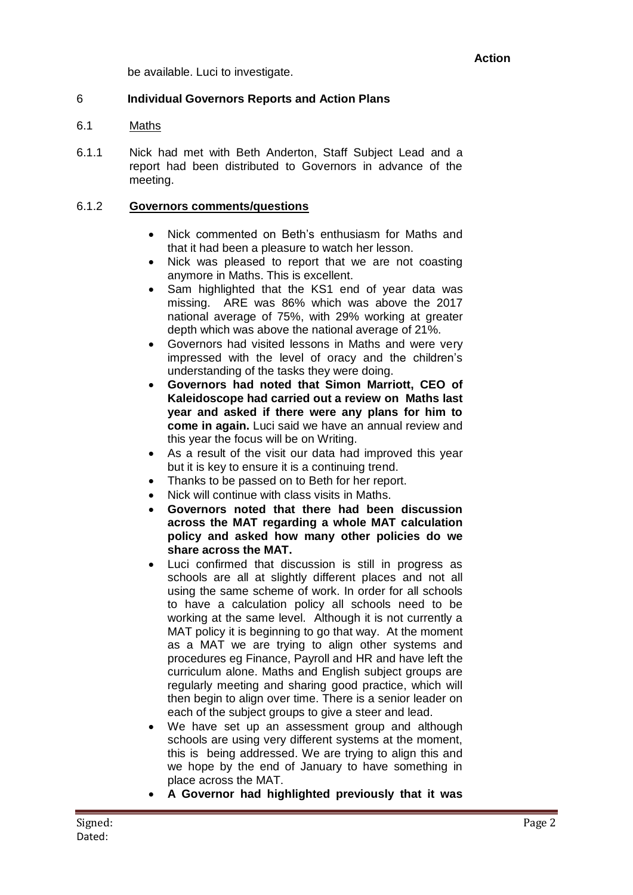be available. Luci to investigate.

## 6 **Individual Governors Reports and Action Plans**

#### 6.1 Maths

6.1.1 Nick had met with Beth Anderton, Staff Subject Lead and a report had been distributed to Governors in advance of the meeting.

#### 6.1.2 **Governors comments/questions**

- Nick commented on Beth's enthusiasm for Maths and that it had been a pleasure to watch her lesson.
- Nick was pleased to report that we are not coasting anymore in Maths. This is excellent.
- Sam highlighted that the KS1 end of year data was missing. ARE was 86% which was above the 2017 national average of 75%, with 29% working at greater depth which was above the national average of 21%.
- Governors had visited lessons in Maths and were very impressed with the level of oracy and the children's understanding of the tasks they were doing.
- **Governors had noted that Simon Marriott, CEO of Kaleidoscope had carried out a review on Maths last year and asked if there were any plans for him to come in again.** Luci said we have an annual review and this year the focus will be on Writing.
- As a result of the visit our data had improved this year but it is key to ensure it is a continuing trend.
- Thanks to be passed on to Beth for her report.
- Nick will continue with class visits in Maths.
- **Governors noted that there had been discussion across the MAT regarding a whole MAT calculation policy and asked how many other policies do we share across the MAT.**
- Luci confirmed that discussion is still in progress as schools are all at slightly different places and not all using the same scheme of work. In order for all schools to have a calculation policy all schools need to be working at the same level. Although it is not currently a MAT policy it is beginning to go that way. At the moment as a MAT we are trying to align other systems and procedures eg Finance, Payroll and HR and have left the curriculum alone. Maths and English subject groups are regularly meeting and sharing good practice, which will then begin to align over time. There is a senior leader on each of the subject groups to give a steer and lead.
- We have set up an assessment group and although schools are using very different systems at the moment, this is being addressed. We are trying to align this and we hope by the end of January to have something in place across the MAT.
- **A Governor had highlighted previously that it was**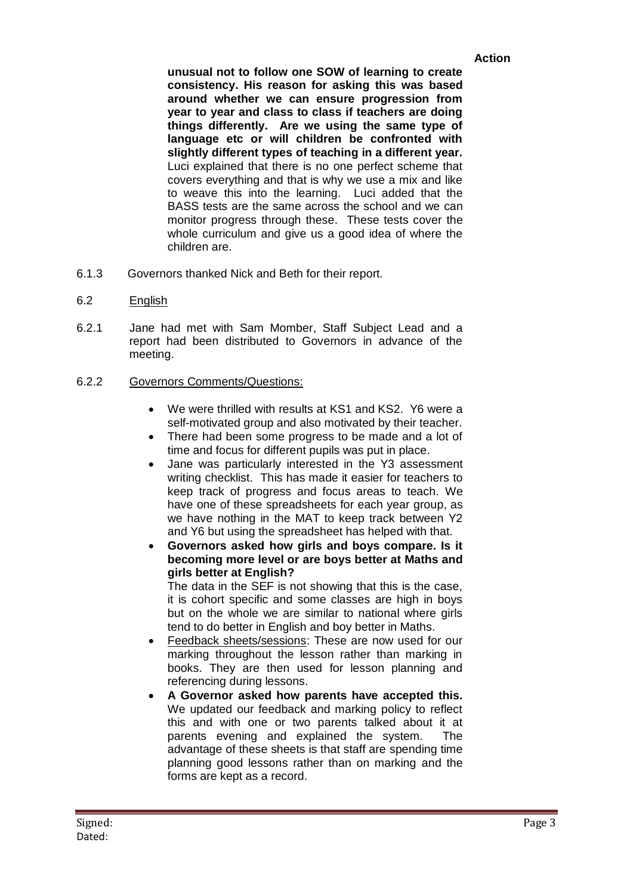### **Action**

**unusual not to follow one SOW of learning to create consistency. His reason for asking this was based around whether we can ensure progression from year to year and class to class if teachers are doing things differently. Are we using the same type of language etc or will children be confronted with slightly different types of teaching in a different year.** Luci explained that there is no one perfect scheme that covers everything and that is why we use a mix and like to weave this into the learning. Luci added that the BASS tests are the same across the school and we can monitor progress through these. These tests cover the whole curriculum and give us a good idea of where the children are.

- 6.1.3 Governors thanked Nick and Beth for their report.
- 6.2 English
- 6.2.1 Jane had met with Sam Momber, Staff Subject Lead and a report had been distributed to Governors in advance of the meeting.
- 6.2.2 Governors Comments/Questions:
	- We were thrilled with results at KS1 and KS2. Y6 were a self-motivated group and also motivated by their teacher.
	- There had been some progress to be made and a lot of time and focus for different pupils was put in place.
	- Jane was particularly interested in the Y3 assessment writing checklist. This has made it easier for teachers to keep track of progress and focus areas to teach. We have one of these spreadsheets for each year group, as we have nothing in the MAT to keep track between Y2 and Y6 but using the spreadsheet has helped with that.
	- **Governors asked how girls and boys compare. Is it becoming more level or are boys better at Maths and girls better at English?**

The data in the SEF is not showing that this is the case, it is cohort specific and some classes are high in boys but on the whole we are similar to national where girls tend to do better in English and boy better in Maths.

- Feedback sheets/sessions: These are now used for our marking throughout the lesson rather than marking in books. They are then used for lesson planning and referencing during lessons.
- **A Governor asked how parents have accepted this.** We updated our feedback and marking policy to reflect this and with one or two parents talked about it at parents evening and explained the system. The advantage of these sheets is that staff are spending time planning good lessons rather than on marking and the forms are kept as a record.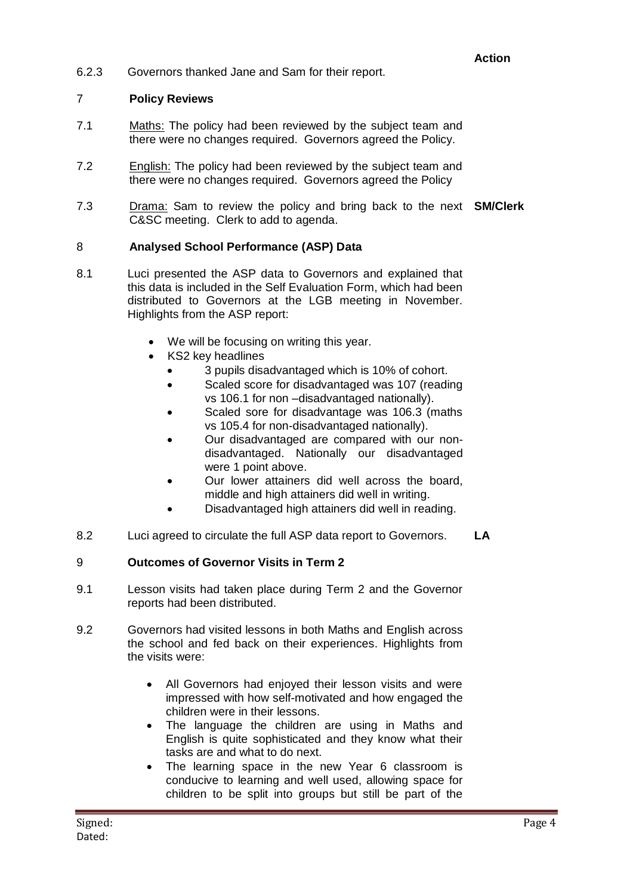# **Action**

6.2.3 Governors thanked Jane and Sam for their report.

## 7 **Policy Reviews**

- 7.1 Maths: The policy had been reviewed by the subject team and there were no changes required. Governors agreed the Policy.
- 7.2 English: The policy had been reviewed by the subject team and there were no changes required. Governors agreed the Policy
- 7.3 Drama: Sam to review the policy and bring back to the next **SM/Clerk** C&SC meeting. Clerk to add to agenda.

## 8 **Analysed School Performance (ASP) Data**

- 8.1 Luci presented the ASP data to Governors and explained that this data is included in the Self Evaluation Form, which had been distributed to Governors at the LGB meeting in November. Highlights from the ASP report:
	- We will be focusing on writing this year.
	- KS2 key headlines
		- 3 pupils disadvantaged which is 10% of cohort.
		- Scaled score for disadvantaged was 107 (reading vs 106.1 for non –disadvantaged nationally).
		- Scaled sore for disadvantage was 106.3 (maths vs 105.4 for non-disadvantaged nationally).
		- Our disadvantaged are compared with our nondisadvantaged. Nationally our disadvantaged were 1 point above.
		- Our lower attainers did well across the board, middle and high attainers did well in writing.
		- Disadvantaged high attainers did well in reading.
- 8.2 Luci agreed to circulate the full ASP data report to Governors. **LA**

# 9 **Outcomes of Governor Visits in Term 2**

- 9.1 Lesson visits had taken place during Term 2 and the Governor reports had been distributed.
- 9.2 Governors had visited lessons in both Maths and English across the school and fed back on their experiences. Highlights from the visits were:
	- All Governors had enjoyed their lesson visits and were impressed with how self-motivated and how engaged the children were in their lessons.
	- The language the children are using in Maths and English is quite sophisticated and they know what their tasks are and what to do next.
	- The learning space in the new Year 6 classroom is conducive to learning and well used, allowing space for children to be split into groups but still be part of the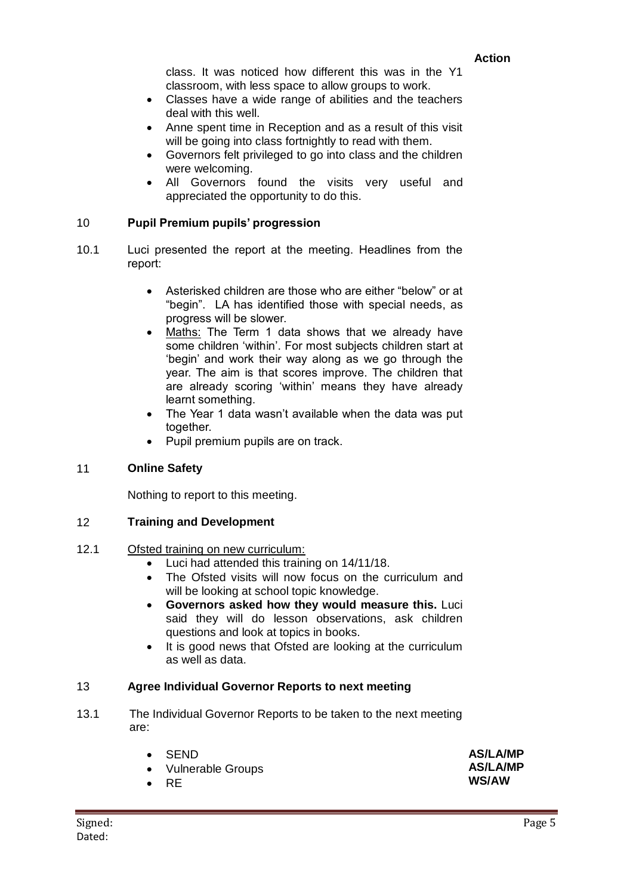class. It was noticed how different this was in the Y1 classroom, with less space to allow groups to work.

- Classes have a wide range of abilities and the teachers deal with this well.
- Anne spent time in Reception and as a result of this visit will be going into class fortnightly to read with them.
- Governors felt privileged to go into class and the children were welcoming.
- All Governors found the visits very useful and appreciated the opportunity to do this.

### 10 **Pupil Premium pupils' progression**

- 10.1 Luci presented the report at the meeting. Headlines from the report:
	- Asterisked children are those who are either "below" or at "begin". LA has identified those with special needs, as progress will be slower.
	- Maths: The Term 1 data shows that we already have some children 'within'. For most subjects children start at 'begin' and work their way along as we go through the year. The aim is that scores improve. The children that are already scoring 'within' means they have already learnt something.
	- The Year 1 data wasn't available when the data was put together.
	- Pupil premium pupils are on track.

# 11 **Online Safety**

Nothing to report to this meeting.

### 12 **Training and Development**

### 12.1 Ofsted training on new curriculum:

- Luci had attended this training on 14/11/18.
- The Ofsted visits will now focus on the curriculum and will be looking at school topic knowledge.
- **Governors asked how they would measure this.** Luci said they will do lesson observations, ask children questions and look at topics in books.
- It is good news that Ofsted are looking at the curriculum as well as data.

### 13 **Agree Individual Governor Reports to next meeting**

13.1 The Individual Governor Reports to be taken to the next meeting are:

| <b>SEND</b>              | <b>AS/LA/MP</b> |
|--------------------------|-----------------|
| <b>Vulnerable Groups</b> | <b>AS/LA/MP</b> |
| <b>RE</b>                | WS/AW           |